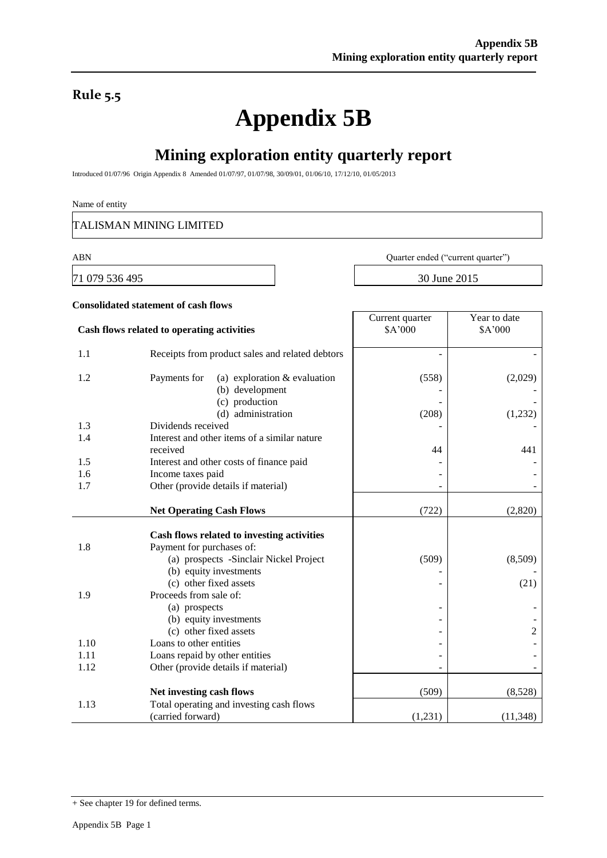## **Rule 5.5**

# **Appendix 5B**

# **Mining exploration entity quarterly report**

Introduced 01/07/96 Origin Appendix 8 Amended 01/07/97, 01/07/98, 30/09/01, 01/06/10, 17/12/10, 01/05/2013

#### Name of entity

TALISMAN MINING LIMITED

71 079 536 495 30 June 2015

ABN Quarter ended ("current quarter")

|      | <b>Consolidated statement of cash flows</b>                                                                       |                            |                         |
|------|-------------------------------------------------------------------------------------------------------------------|----------------------------|-------------------------|
|      | Cash flows related to operating activities                                                                        | Current quarter<br>\$A'000 | Year to date<br>\$A'000 |
| 1.1  | Receipts from product sales and related debtors                                                                   |                            |                         |
| 1.2  | (a) exploration $&$ evaluation<br>Payments for<br>(b) development<br>(c) production<br>(d) administration         | (558)<br>(208)             | (2,029)<br>(1,232)      |
| 1.3  | Dividends received                                                                                                |                            |                         |
| 1.4  | Interest and other items of a similar nature<br>received                                                          | 44                         | 441                     |
| 1.5  | Interest and other costs of finance paid                                                                          |                            |                         |
| 1.6  | Income taxes paid                                                                                                 |                            |                         |
| 1.7  | Other (provide details if material)                                                                               |                            |                         |
|      | <b>Net Operating Cash Flows</b>                                                                                   | (722)                      | (2,820)                 |
| 1.8  | Cash flows related to investing activities<br>Payment for purchases of:<br>(a) prospects -Sinclair Nickel Project | (509)                      | (8,509)                 |
| 1.9  | (b) equity investments<br>(c) other fixed assets<br>Proceeds from sale of:                                        |                            | (21)                    |
|      | (a) prospects<br>(b) equity investments<br>(c) other fixed assets                                                 |                            | $\overline{c}$          |
| 1.10 | Loans to other entities                                                                                           |                            |                         |
| 1.11 | Loans repaid by other entities                                                                                    |                            |                         |
| 1.12 | Other (provide details if material)                                                                               |                            |                         |
|      | Net investing cash flows                                                                                          | (509)                      | (8,528)                 |
| 1.13 | Total operating and investing cash flows<br>(carried forward)                                                     | (1,231)                    | (11, 348)               |

<sup>+</sup> See chapter 19 for defined terms.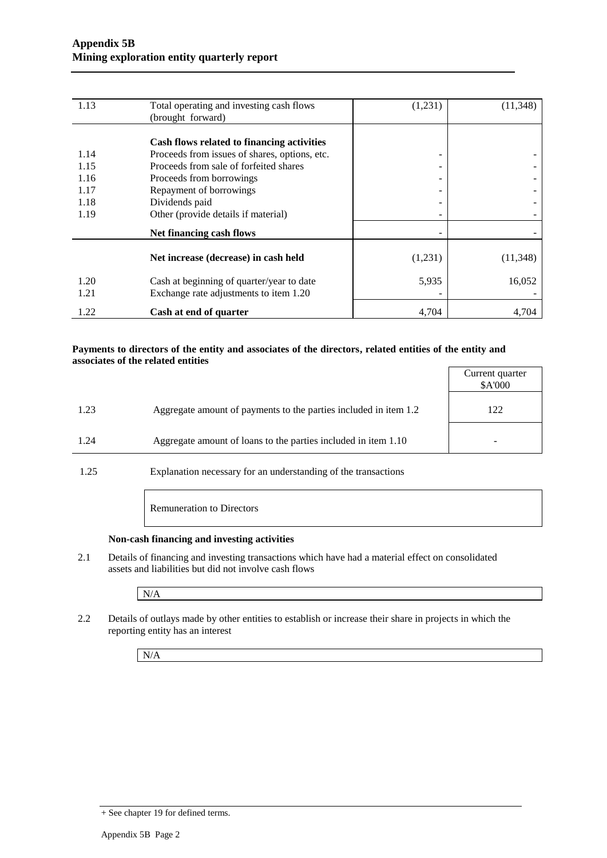| 1.13 | Total operating and investing cash flows      | (1,231) | (11, 348) |
|------|-----------------------------------------------|---------|-----------|
|      | (brought forward)                             |         |           |
|      |                                               |         |           |
|      | Cash flows related to financing activities    |         |           |
| 1.14 | Proceeds from issues of shares, options, etc. |         |           |
| 1.15 | Proceeds from sale of forfeited shares        |         |           |
| 1.16 | Proceeds from borrowings                      | -       |           |
| 1.17 | Repayment of borrowings                       | -       |           |
| 1.18 | Dividends paid                                |         |           |
| 1.19 | Other (provide details if material)           |         |           |
|      | Net financing cash flows                      |         |           |
|      |                                               |         |           |
|      | Net increase (decrease) in cash held          | (1,231) | (11, 348) |
| 1.20 | Cash at beginning of quarter/year to date     | 5,935   | 16,052    |
| 1.21 | Exchange rate adjustments to item 1.20        |         |           |
| 1.22 | Cash at end of quarter                        | 4,704   | 4,704     |

#### **Payments to directors of the entity and associates of the directors, related entities of the entity and associates of the related entities**

|                                                                          | Current quarter<br>\$A'000 |
|--------------------------------------------------------------------------|----------------------------|
| Aggregate amount of payments to the parties included in item 1.2<br>1.23 | 122                        |
| Aggregate amount of loans to the parties included in item 1.10<br>1.24   |                            |

1.25 Explanation necessary for an understanding of the transactions

Remuneration to Directors

#### **Non-cash financing and investing activities**

2.1 Details of financing and investing transactions which have had a material effect on consolidated assets and liabilities but did not involve cash flows

N/A

2.2 Details of outlays made by other entities to establish or increase their share in projects in which the reporting entity has an interest

N/A

<sup>+</sup> See chapter 19 for defined terms.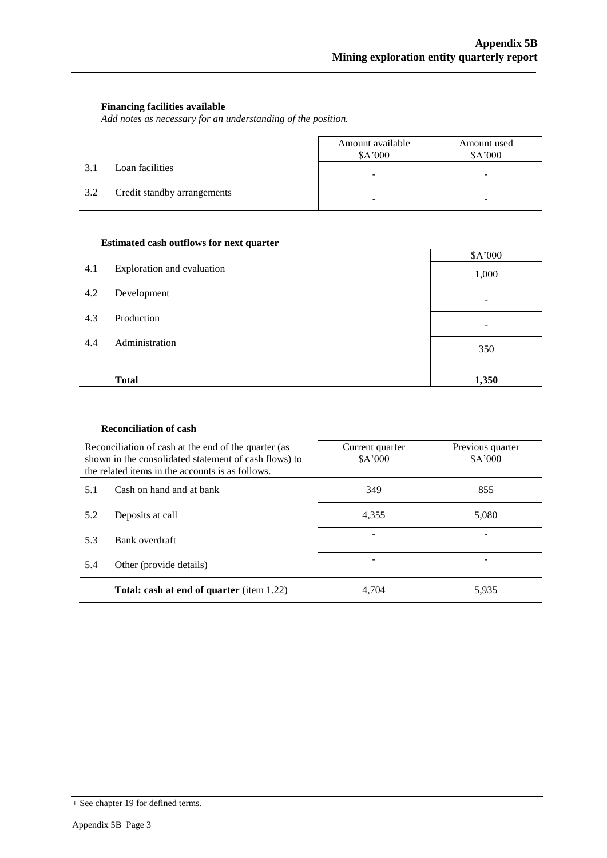#### **Financing facilities available**

*Add notes as necessary for an understanding of the position.*

|     |                             | Amount available<br>\$A'000 | Amount used<br>\$A'000 |
|-----|-----------------------------|-----------------------------|------------------------|
| 3.1 | Loan facilities             | -                           | -                      |
| 3.2 | Credit standby arrangements | -                           |                        |

#### **Estimated cash outflows for next quarter**

| 4.1 | Exploration and evaluation | \$A'000<br>1,000 |
|-----|----------------------------|------------------|
| 4.2 | Development                |                  |
| 4.3 | Production                 |                  |
| 4.4 | Administration             | 350              |
|     | <b>Total</b>               | 1,350            |

#### **Reconciliation of cash**

|     | Reconciliation of cash at the end of the quarter (as<br>shown in the consolidated statement of cash flows) to<br>the related items in the accounts is as follows. | Current quarter<br>\$A'000 | Previous quarter<br>\$A'000 |
|-----|-------------------------------------------------------------------------------------------------------------------------------------------------------------------|----------------------------|-----------------------------|
| 5.1 | Cash on hand and at bank                                                                                                                                          | 349                        | 855                         |
| 5.2 | Deposits at call                                                                                                                                                  | 4.355                      | 5.080                       |
| 5.3 | Bank overdraft                                                                                                                                                    |                            |                             |
| 5.4 | Other (provide details)                                                                                                                                           |                            |                             |
|     | <b>Total: cash at end of quarter</b> (item 1.22)                                                                                                                  | 4.704                      | 5,935                       |

<sup>+</sup> See chapter 19 for defined terms.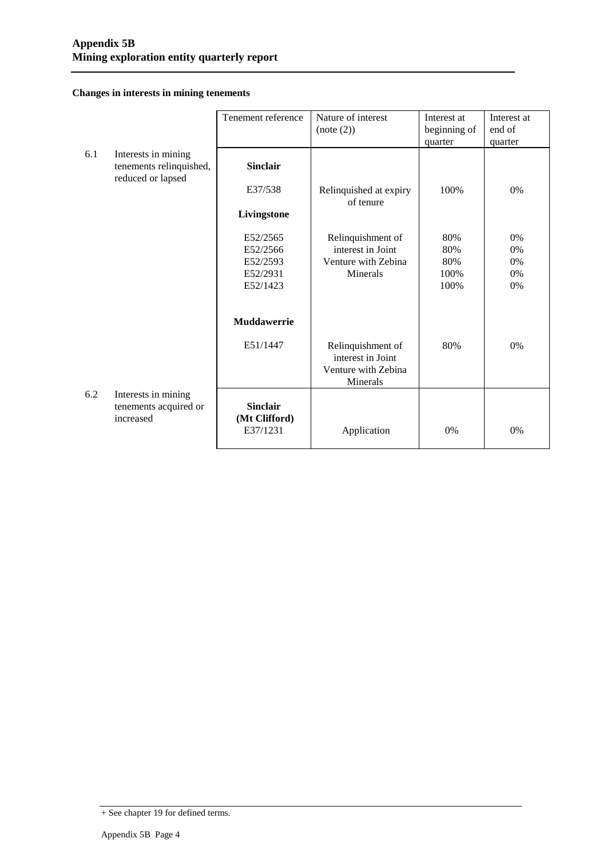#### **Changes in interests in mining tenements**

|     |                                                                     | Tenement reference                           | Nature of interest<br>(note (2))                                          | Interest at<br>beginning of | Interest at<br>end of |
|-----|---------------------------------------------------------------------|----------------------------------------------|---------------------------------------------------------------------------|-----------------------------|-----------------------|
|     |                                                                     |                                              |                                                                           | quarter                     | quarter               |
| 6.1 | Interests in mining<br>tenements relinquished,<br>reduced or lapsed | <b>Sinclair</b>                              |                                                                           |                             |                       |
|     |                                                                     | E37/538                                      | Relinquished at expiry<br>of tenure                                       | 100%                        | $0\%$                 |
|     |                                                                     | Livingstone                                  |                                                                           |                             |                       |
|     |                                                                     | E52/2565                                     | Relinquishment of                                                         | 80%                         | 0%                    |
|     |                                                                     | E52/2566                                     | interest in Joint                                                         | 80%                         | 0%                    |
|     |                                                                     | E52/2593<br>E52/2931                         | Venture with Zebina                                                       | 80%                         | $0\%$                 |
|     |                                                                     | E52/1423                                     | Minerals                                                                  | 100%<br>100%                | 0%<br>0%              |
|     |                                                                     |                                              |                                                                           |                             |                       |
|     |                                                                     | Muddawerrie                                  |                                                                           |                             |                       |
|     |                                                                     | E51/1447                                     | Relinquishment of<br>interest in Joint<br>Venture with Zebina<br>Minerals | 80%                         | 0%                    |
| 6.2 | Interests in mining<br>tenements acquired or<br>increased           | <b>Sinclair</b><br>(Mt Clifford)<br>E37/1231 | Application                                                               | 0%                          | $0\%$                 |
|     |                                                                     |                                              |                                                                           |                             |                       |

<sup>+</sup> See chapter 19 for defined terms.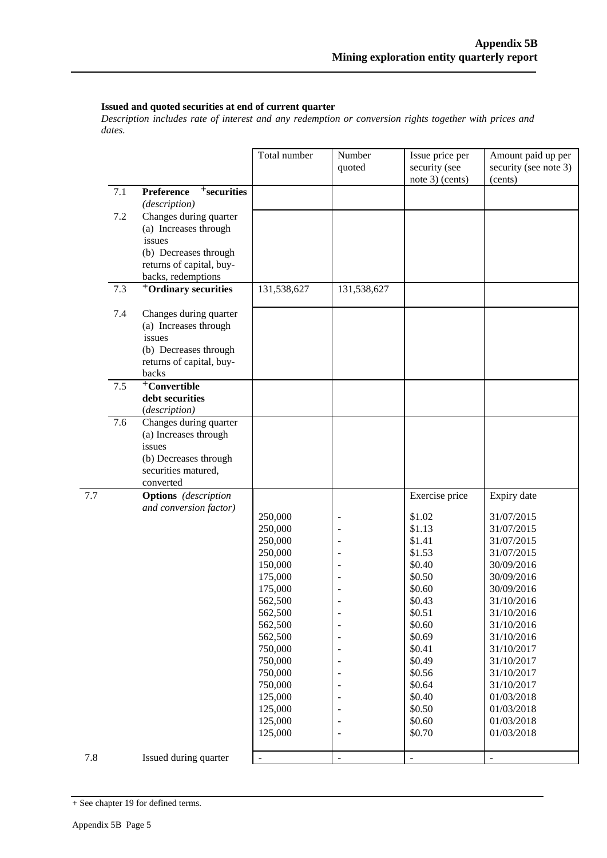#### **Issued and quoted securities at end of current quarter**

*Description includes rate of interest and any redemption or conversion rights together with prices and dates.*

|     |     |                                                                                                                         | Total number                                                              | Number<br>quoted | Issue price per<br>security (see<br>note 3) (cents)                | Amount paid up per<br>security (see note 3)<br>(cents)                                         |
|-----|-----|-------------------------------------------------------------------------------------------------------------------------|---------------------------------------------------------------------------|------------------|--------------------------------------------------------------------|------------------------------------------------------------------------------------------------|
|     | 7.1 | Preference<br><sup>+</sup> securities                                                                                   |                                                                           |                  |                                                                    |                                                                                                |
|     | 7.2 | (description)<br>Changes during quarter<br>(a) Increases through                                                        |                                                                           |                  |                                                                    |                                                                                                |
|     |     | issues<br>(b) Decreases through<br>returns of capital, buy-<br>backs, redemptions                                       |                                                                           |                  |                                                                    |                                                                                                |
|     | 7.3 | <sup>+</sup> Ordinary securities                                                                                        | 131,538,627                                                               | 131,538,627      |                                                                    |                                                                                                |
|     | 7.4 | Changes during quarter<br>(a) Increases through<br>issues<br>(b) Decreases through<br>returns of capital, buy-<br>backs |                                                                           |                  |                                                                    |                                                                                                |
|     | 7.5 | <sup>+</sup> Convertible<br>debt securities<br>(description)                                                            |                                                                           |                  |                                                                    |                                                                                                |
|     | 7.6 | Changes during quarter<br>(a) Increases through<br>issues<br>(b) Decreases through<br>securities matured,<br>converted  |                                                                           |                  |                                                                    |                                                                                                |
| 7.7 |     | <b>Options</b> (description<br>and conversion factor)                                                                   | 250,000<br>250,000<br>250,000<br>250,000<br>150,000                       |                  | Exercise price<br>\$1.02<br>\$1.13<br>\$1.41<br>\$1.53<br>\$0.40   | Expiry date<br>31/07/2015<br>31/07/2015<br>31/07/2015<br>31/07/2015<br>30/09/2016              |
|     |     |                                                                                                                         | 175,000<br>175,000<br>562,500<br>562,500<br>562,500<br>562,500<br>750,000 |                  | \$0.50<br>\$0.60<br>\$0.43<br>\$0.51<br>\$0.60<br>\$0.69<br>\$0.41 | 30/09/2016<br>30/09/2016<br>31/10/2016<br>31/10/2016<br>31/10/2016<br>31/10/2016<br>31/10/2017 |
|     |     |                                                                                                                         | 750,000<br>750,000<br>750,000<br>125,000<br>125,000<br>125,000<br>125,000 |                  | \$0.49<br>\$0.56<br>\$0.64<br>\$0.40<br>\$0.50<br>\$0.60<br>\$0.70 | 31/10/2017<br>31/10/2017<br>31/10/2017<br>01/03/2018<br>01/03/2018<br>01/03/2018<br>01/03/2018 |
| 7.8 |     | Issued during quarter                                                                                                   |                                                                           |                  |                                                                    |                                                                                                |

<sup>+</sup> See chapter 19 for defined terms.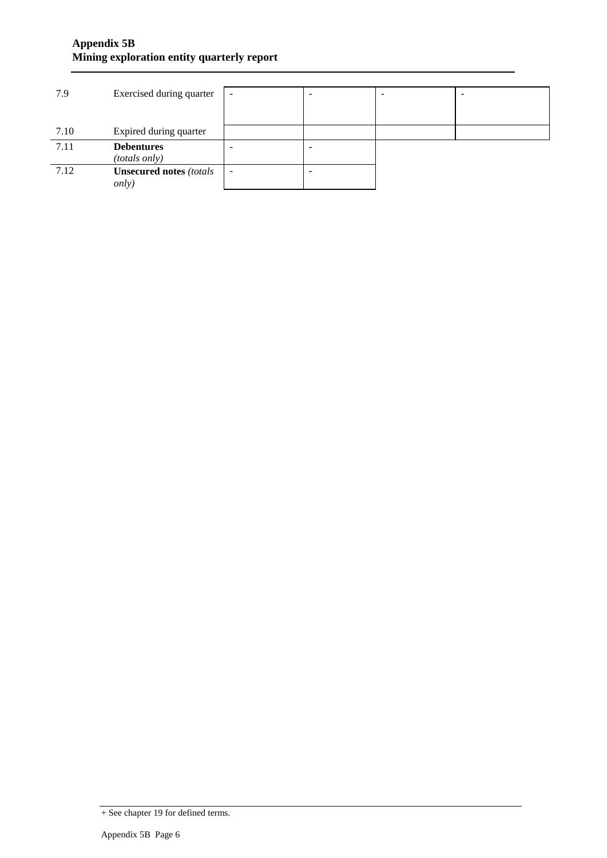### **Appendix 5B Mining exploration entity quarterly report**

| 7.9  | Exercised during quarter       |                          | - | - |
|------|--------------------------------|--------------------------|---|---|
|      |                                |                          |   |   |
|      |                                |                          |   |   |
| 7.10 | Expired during quarter         |                          |   |   |
| 7.11 | <b>Debentures</b>              |                          |   |   |
|      | (totals only)                  |                          |   |   |
| 7.12 | <b>Unsecured notes (totals</b> | $\overline{\phantom{a}}$ |   |   |
|      | <i>only</i> )                  |                          |   |   |

<sup>+</sup> See chapter 19 for defined terms.